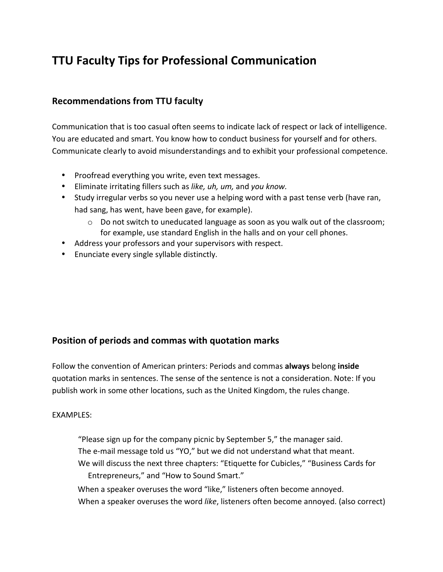# **TTU Faculty Tips for Professional Communication**

# **Recommendations from TTU faculty**

Communication that is too casual often seems to indicate lack of respect or lack of intelligence. You are educated and smart. You know how to conduct business for yourself and for others. Communicate clearly to avoid misunderstandings and to exhibit your professional competence.

- • Proofread everything you write, even text messages.
- • Eliminate irritating fillers such as *like, uh, um,* and *you know.*
- Study irregular verbs so you never use a helping word with a past tense verb (have ran, had sang, has went, have been gave, for example).
	- $\circ$  Do not switch to uneducated language as soon as you walk out of the classroom; for example, use standard English in the halls and on your cell phones.
- • Address your professors and your supervisors with respect.
- Enunciate every single syllable distinctly.

## **Position of periods and commas with quotation marks**

Follow the convention of American printers: Periods and commas always belong inside quotation marks in sentences. The sense of the sentence is not a consideration. Note: If you publish work in some other locations, such as the United Kingdom, the rules change.

#### EXAMPLES:

"Please sign up for the company picnic by September 5," the manager said. The e-mail message told us "YO," but we did not understand what that meant. We will discuss the next three chapters: "Etiquette for Cubicles," "Business Cards for Entrepreneurs," and "How to Sound Smart."

When a speaker overuses the word "like," listeners often become annoyed. When a speaker overuses the word like, listeners often become annoyed. (also correct)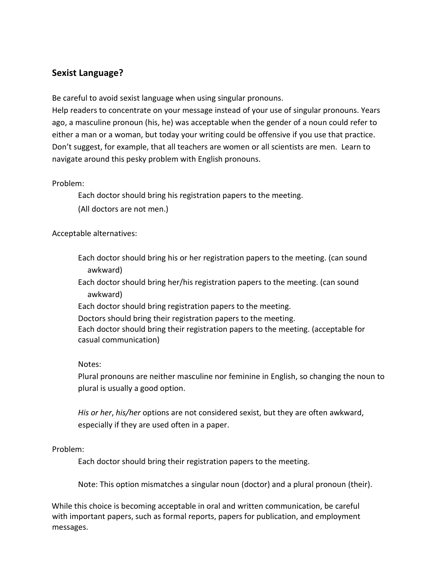## **Sexist Language?**

Be careful to avoid sexist language when using singular pronouns.

Help readers to concentrate on your message instead of your use of singular pronouns. Years ago, a masculine pronoun (his, he) was acceptable when the gender of a noun could refer to either a man or a woman, but today your writing could be offensive if you use that practice. Don't suggest, for example, that all teachers are women or all scientists are men. Learn to navigate around this pesky problem with English pronouns.

#### Problem:

Each doctor should bring his registration papers to the meeting.

(All doctors are not men.)

Acceptable alternatives:

- Each doctor should bring his or her registration papers to the meeting. (can sound awkward)
- Each doctor should bring her/his registration papers to the meeting. (can sound awkward)

Each doctor should bring registration papers to the meeting.

Doctors should bring their registration papers to the meeting.

 Each doctor should bring their registration papers to the meeting. (acceptable for casual communication)

#### Notes:

Plural pronouns are neither masculine nor feminine in English, so changing the noun to plural is usually a good option.

His or her, his/her options are not considered sexist, but they are often awkward, especially if they are used often in a paper.

#### Problem:

Each doctor should bring their registration papers to the meeting.

Note: This option mismatches a singular noun (doctor) and a plural pronoun (their).

While this choice is becoming acceptable in oral and written communication, be careful with important papers, such as formal reports, papers for publication, and employment messages.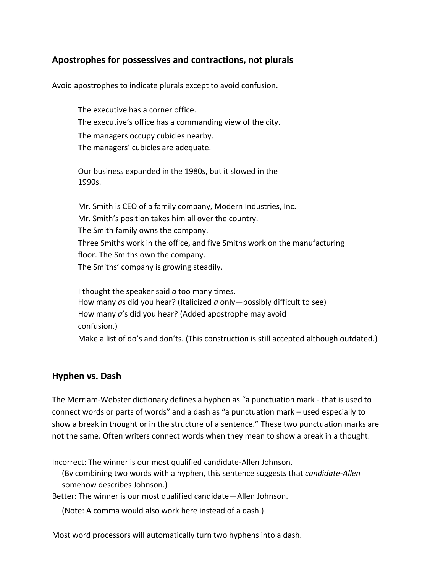## **Apostrophes for possessives and contractions, not plurals**

Avoid apostrophes to indicate plurals except to avoid confusion.

 The executive has a corner office. The executive's office has a commanding view of the city. The managers occupy cubicles nearby. The managers' cubicles are adequate.

Our business expanded in the 1980s, but it slowed in the 1990s.

Mr. Smith is CEO of a family company, Modern Industries, Inc. Mr. Smith's position takes him all over the country. The Smith family owns the company. Three Smiths work in the office, and five Smiths work on the manufacturing floor. The Smiths own the company. The Smiths' company is growing steadily.

I thought the speaker said *a* too many times. How many *as* did you hear? (Italicized *a* only—possibly difficult to see) How many *a*'s did you hear? (Added apostrophe may avoid Make a list of do's and don'ts. (This construction is still accepted although outdated.) confusion.)

#### **Hyphen vs. Dash**

The Merriam-Webster dictionary defines a hyphen as "a punctuation mark - that is used to connect words or parts of words" and a dash as "a punctuation mark – used especially to show a break in thought or in the structure of a sentence." These two punctuation marks are not the same. Often writers connect words when they mean to show a break in a thought.

Incorrect: The winner is our most qualified candidate-Allen Johnson.

Incorrect: The winner is our most qualified candidate-Allen Johnson.<br>(By combining two words with a hyphen, this sentence suggests that *candidate-Allen*) somehow describes Johnson.)

somehow describes Johnson.)<br>Better: The winner is our most qualified candidate—Allen Johnson.

(Note: A comma would also work here instead of a dash.)

Most word processors will automatically turn two hyphens into a dash.